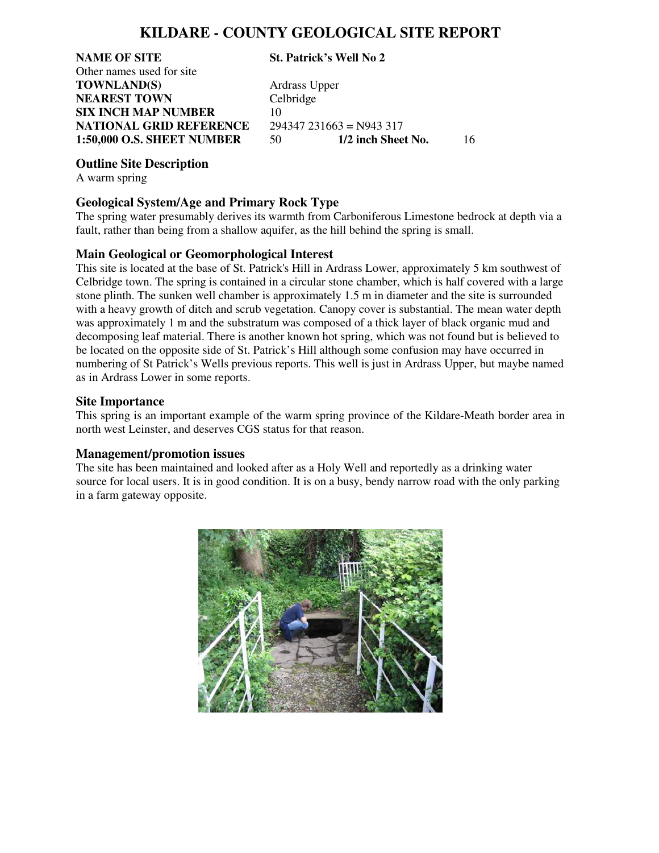## **KILDARE - COUNTY GEOLOGICAL SITE REPORT**

**NAME OF SITE St. Patrick's Well No 2**  Other names used for site **TOWNLAND(S)** Ardrass Upper **NEAREST TOWN** Celbridge **SIX INCH MAP NUMBER** 10 **NATIONAL GRID REFERENCE** 294347 231663 = N943 317<br>1:50,000 O.S. SHEET NUMBER 50 1/2 inch Sheet No.

**1:50,000 O.S. SHEET NUMBER** 50 **1/2 inch Sheet No.** 16

#### **Outline Site Description**

A warm spring

#### **Geological System/Age and Primary Rock Type**

The spring water presumably derives its warmth from Carboniferous Limestone bedrock at depth via a fault, rather than being from a shallow aquifer, as the hill behind the spring is small.

### **Main Geological or Geomorphological Interest**

This site is located at the base of St. Patrick's Hill in Ardrass Lower, approximately 5 km southwest of Celbridge town. The spring is contained in a circular stone chamber, which is half covered with a large stone plinth. The sunken well chamber is approximately 1.5 m in diameter and the site is surrounded with a heavy growth of ditch and scrub vegetation. Canopy cover is substantial. The mean water depth was approximately 1 m and the substratum was composed of a thick layer of black organic mud and decomposing leaf material. There is another known hot spring, which was not found but is believed to be located on the opposite side of St. Patrick's Hill although some confusion may have occurred in numbering of St Patrick's Wells previous reports. This well is just in Ardrass Upper, but maybe named as in Ardrass Lower in some reports.

#### **Site Importance**

This spring is an important example of the warm spring province of the Kildare-Meath border area in north west Leinster, and deserves CGS status for that reason.

### **Management/promotion issues**

The site has been maintained and looked after as a Holy Well and reportedly as a drinking water source for local users. It is in good condition. It is on a busy, bendy narrow road with the only parking in a farm gateway opposite.